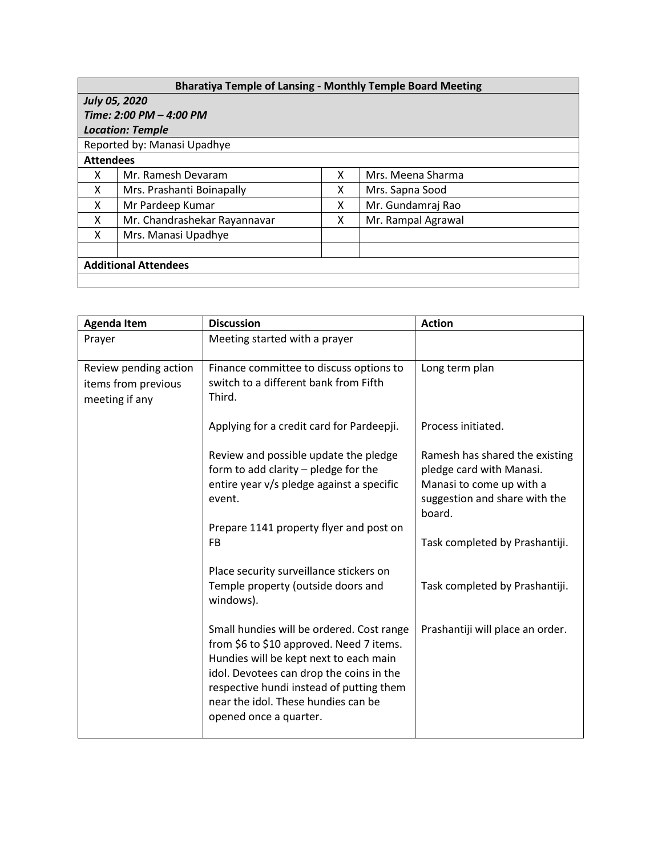| <b>Bharatiya Temple of Lansing - Monthly Temple Board Meeting</b> |                              |   |                    |  |  |  |
|-------------------------------------------------------------------|------------------------------|---|--------------------|--|--|--|
| <b>July 05, 2020</b>                                              |                              |   |                    |  |  |  |
| Time: 2:00 PM - 4:00 PM                                           |                              |   |                    |  |  |  |
| <b>Location: Temple</b>                                           |                              |   |                    |  |  |  |
| Reported by: Manasi Upadhye                                       |                              |   |                    |  |  |  |
| <b>Attendees</b>                                                  |                              |   |                    |  |  |  |
| X                                                                 | Mr. Ramesh Devaram           | x | Mrs. Meena Sharma  |  |  |  |
| x                                                                 | Mrs. Prashanti Boinapally    | x | Mrs. Sapna Sood    |  |  |  |
| x                                                                 | Mr Pardeep Kumar             | x | Mr. Gundamraj Rao  |  |  |  |
| x                                                                 | Mr. Chandrashekar Rayannavar | x | Mr. Rampal Agrawal |  |  |  |
| x                                                                 | Mrs. Manasi Upadhye          |   |                    |  |  |  |
|                                                                   |                              |   |                    |  |  |  |
| <b>Additional Attendees</b>                                       |                              |   |                    |  |  |  |
|                                                                   |                              |   |                    |  |  |  |

| <b>Agenda Item</b>                                             | <b>Discussion</b>                                                                                                                                                                                                                                                                        | <b>Action</b>                                                                                                                     |
|----------------------------------------------------------------|------------------------------------------------------------------------------------------------------------------------------------------------------------------------------------------------------------------------------------------------------------------------------------------|-----------------------------------------------------------------------------------------------------------------------------------|
| Prayer                                                         | Meeting started with a prayer                                                                                                                                                                                                                                                            |                                                                                                                                   |
| Review pending action<br>items from previous<br>meeting if any | Finance committee to discuss options to<br>switch to a different bank from Fifth<br>Third.                                                                                                                                                                                               | Long term plan                                                                                                                    |
|                                                                | Applying for a credit card for Pardeepji.                                                                                                                                                                                                                                                | Process initiated.                                                                                                                |
|                                                                | Review and possible update the pledge<br>form to add clarity $-$ pledge for the<br>entire year v/s pledge against a specific<br>event.                                                                                                                                                   | Ramesh has shared the existing<br>pledge card with Manasi.<br>Manasi to come up with a<br>suggestion and share with the<br>board. |
|                                                                | Prepare 1141 property flyer and post on<br>FB                                                                                                                                                                                                                                            | Task completed by Prashantiji.                                                                                                    |
|                                                                | Place security surveillance stickers on<br>Temple property (outside doors and<br>windows).                                                                                                                                                                                               | Task completed by Prashantiji.                                                                                                    |
|                                                                | Small hundies will be ordered. Cost range<br>from \$6 to \$10 approved. Need 7 items.<br>Hundies will be kept next to each main<br>idol. Devotees can drop the coins in the<br>respective hundi instead of putting them<br>near the idol. These hundies can be<br>opened once a quarter. | Prashantiji will place an order.                                                                                                  |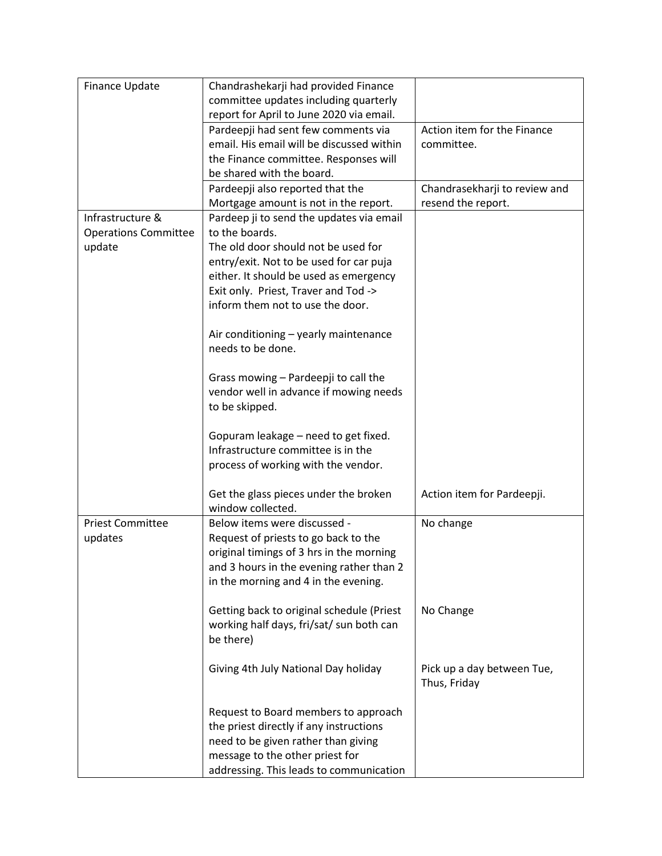| Finance Update              | Chandrashekarji had provided Finance      |                               |
|-----------------------------|-------------------------------------------|-------------------------------|
|                             | committee updates including quarterly     |                               |
|                             | report for April to June 2020 via email.  |                               |
|                             | Pardeepji had sent few comments via       | Action item for the Finance   |
|                             | email. His email will be discussed within | committee.                    |
|                             | the Finance committee. Responses will     |                               |
|                             | be shared with the board.                 |                               |
|                             | Pardeepji also reported that the          | Chandrasekharji to review and |
|                             | Mortgage amount is not in the report.     | resend the report.            |
| Infrastructure &            | Pardeep ji to send the updates via email  |                               |
| <b>Operations Committee</b> | to the boards.                            |                               |
| update                      | The old door should not be used for       |                               |
|                             | entry/exit. Not to be used for car puja   |                               |
|                             | either. It should be used as emergency    |                               |
|                             | Exit only. Priest, Traver and Tod ->      |                               |
|                             | inform them not to use the door.          |                               |
|                             |                                           |                               |
|                             | Air conditioning - yearly maintenance     |                               |
|                             | needs to be done.                         |                               |
|                             |                                           |                               |
|                             | Grass mowing - Pardeepji to call the      |                               |
|                             | vendor well in advance if mowing needs    |                               |
|                             | to be skipped.                            |                               |
|                             |                                           |                               |
|                             | Gopuram leakage - need to get fixed.      |                               |
|                             | Infrastructure committee is in the        |                               |
|                             | process of working with the vendor.       |                               |
|                             |                                           |                               |
|                             | Get the glass pieces under the broken     | Action item for Pardeepji.    |
|                             | window collected.                         |                               |
| <b>Priest Committee</b>     | Below items were discussed -              | No change                     |
| updates                     | Request of priests to go back to the      |                               |
|                             | original timings of 3 hrs in the morning  |                               |
|                             | and 3 hours in the evening rather than 2  |                               |
|                             | in the morning and 4 in the evening.      |                               |
|                             |                                           |                               |
|                             | Getting back to original schedule (Priest | No Change                     |
|                             | working half days, fri/sat/ sun both can  |                               |
|                             | be there)                                 |                               |
|                             |                                           |                               |
|                             | Giving 4th July National Day holiday      | Pick up a day between Tue,    |
|                             |                                           | Thus, Friday                  |
|                             |                                           |                               |
|                             | Request to Board members to approach      |                               |
|                             | the priest directly if any instructions   |                               |
|                             | need to be given rather than giving       |                               |
|                             | message to the other priest for           |                               |
|                             | addressing. This leads to communication   |                               |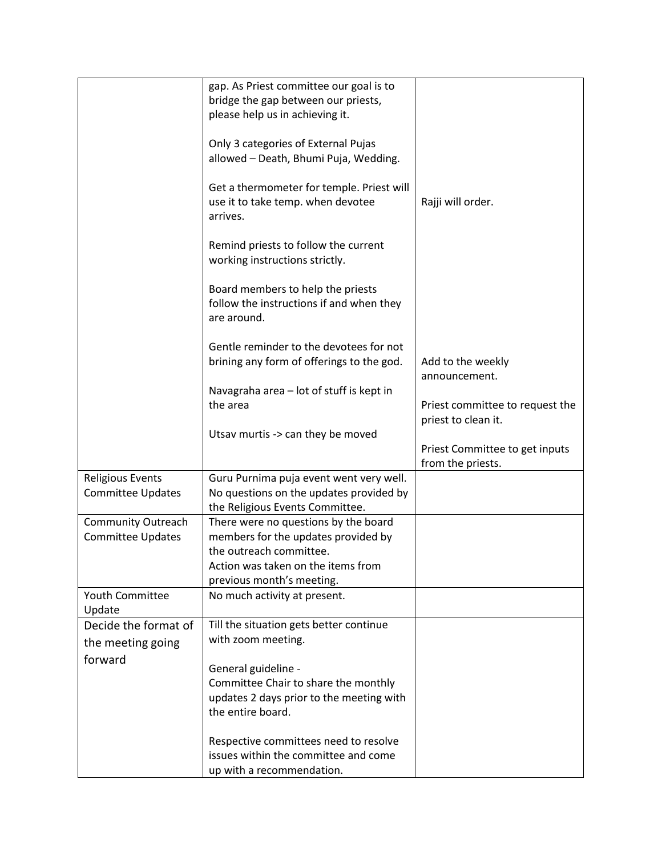|                                                     | gap. As Priest committee our goal is to<br>bridge the gap between our priests,<br>please help us in achieving it.<br>Only 3 categories of External Pujas<br>allowed - Death, Bhumi Puja, Wedding.<br>Get a thermometer for temple. Priest will<br>use it to take temp. when devotee<br>arrives.<br>Remind priests to follow the current<br>working instructions strictly. | Rajji will order.                                      |
|-----------------------------------------------------|---------------------------------------------------------------------------------------------------------------------------------------------------------------------------------------------------------------------------------------------------------------------------------------------------------------------------------------------------------------------------|--------------------------------------------------------|
|                                                     | Board members to help the priests<br>follow the instructions if and when they<br>are around.                                                                                                                                                                                                                                                                              |                                                        |
|                                                     | Gentle reminder to the devotees for not<br>brining any form of offerings to the god.                                                                                                                                                                                                                                                                                      | Add to the weekly<br>announcement.                     |
|                                                     | Navagraha area - lot of stuff is kept in<br>the area                                                                                                                                                                                                                                                                                                                      | Priest committee to request the<br>priest to clean it. |
|                                                     | Utsav murtis -> can they be moved                                                                                                                                                                                                                                                                                                                                         | Priest Committee to get inputs<br>from the priests.    |
| <b>Religious Events</b><br><b>Committee Updates</b> | Guru Purnima puja event went very well.<br>No questions on the updates provided by<br>the Religious Events Committee.                                                                                                                                                                                                                                                     |                                                        |
| Community Outreach<br><b>Committee Updates</b>      | There were no questions by the board<br>members for the updates provided by<br>the outreach committee.<br>Action was taken on the items from<br>previous month's meeting.                                                                                                                                                                                                 |                                                        |
| Youth Committee<br>Update                           | No much activity at present.                                                                                                                                                                                                                                                                                                                                              |                                                        |
| Decide the format of<br>the meeting going           | Till the situation gets better continue<br>with zoom meeting.                                                                                                                                                                                                                                                                                                             |                                                        |
| forward                                             | General guideline -<br>Committee Chair to share the monthly<br>updates 2 days prior to the meeting with<br>the entire board.<br>Respective committees need to resolve                                                                                                                                                                                                     |                                                        |
|                                                     | issues within the committee and come<br>up with a recommendation.                                                                                                                                                                                                                                                                                                         |                                                        |